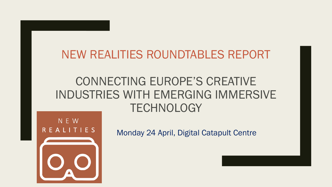#### NEW REALITIES ROUNDTABLES REPORT

#### CONNECTING EUROPE'S CREATIVE INDUSTRIES WITH EMERGING IMMERSIVE **TECHNOLOGY**



Monday 24 April, Digital Catapult Centre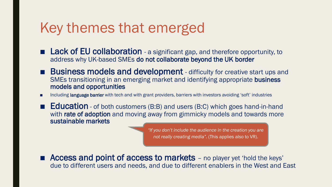### Key themes that emerged

- Lack of EU collaboration a significant gap, and therefore opportunity, to address why UK-based SMEs do not collaborate beyond the UK border
- Business models and development difficulty for creative start ups and SMEs transitioning in an emerging market and identifying appropriate business models and opportunities
- Including language barrier with tech and with grant providers, barriers with investors avoiding 'soft' industries
- Education of both customers (B:B) and users (B:C) which goes hand-in-hand with rate of adoption and moving away from gimmicky models and towards more sustainable markets

*"If you don't include the audience in the creation you are not really creating media".* (This applies also to VR).

■ Access and point of access to markets – no player yet 'hold the keys' due to different users and needs, and due to different enablers in the West and East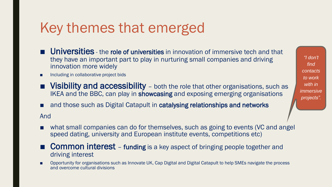# Key themes that emerged

- Universities the role of universities in innovation of immersive tech and that they have an important part to play in nurturing small companies and driving innovation more widely
- Including in collaborative project bids
- Visibility and accessibility both the role that other organisations, such as IKEA and the BBC, can play in showcasing and exposing emerging organisations
- and those such as Digital Catapult in **catalysing relationships and networks**

And

- what small companies can do for themselves, such as going to events (VC and angel speed dating, university and European institute events, competitions etc)
- **Common interest** funding is a key aspect of bringing people together and driving interest
- Opportunity for organisations such as Innovate UK, Cap Digital and Digital Catapult to help SMEs navigate the process and overcome cultural divisions

*"I don't find contacts to work with in immersive projects".*